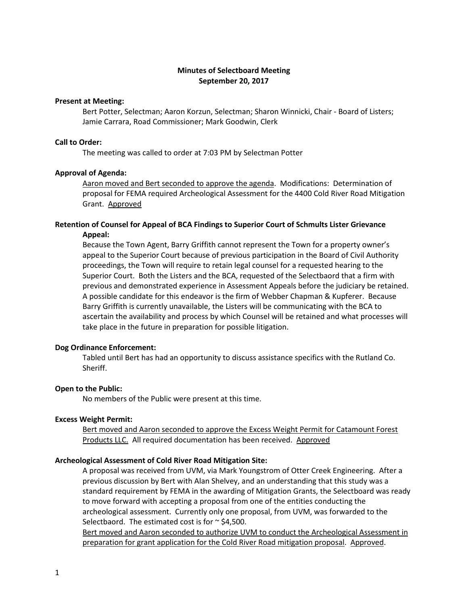# **Minutes of Selectboard Meeting September 20, 2017**

### **Present at Meeting:**

Bert Potter, Selectman; Aaron Korzun, Selectman; Sharon Winnicki, Chair - Board of Listers; Jamie Carrara, Road Commissioner; Mark Goodwin, Clerk

# **Call to Order:**

The meeting was called to order at 7:03 PM by Selectman Potter

## **Approval of Agenda:**

Aaron moved and Bert seconded to approve the agenda. Modifications: Determination of proposal for FEMA required Archeological Assessment for the 4400 Cold River Road Mitigation Grant. Approved

# **Retention of Counsel for Appeal of BCA Findings to Superior Court of Schmults Lister Grievance Appeal:**

Because the Town Agent, Barry Griffith cannot represent the Town for a property owner's appeal to the Superior Court because of previous participation in the Board of Civil Authority proceedings, the Town will require to retain legal counsel for a requested hearing to the Superior Court. Both the Listers and the BCA, requested of the Selectbaord that a firm with previous and demonstrated experience in Assessment Appeals before the judiciary be retained. A possible candidate for this endeavor is the firm of Webber Chapman & Kupferer. Because Barry Griffith is currently unavailable, the Listers will be communicating with the BCA to ascertain the availability and process by which Counsel will be retained and what processes will take place in the future in preparation for possible litigation.

#### **Dog Ordinance Enforcement:**

Tabled until Bert has had an opportunity to discuss assistance specifics with the Rutland Co. Sheriff.

#### **Open to the Public:**

No members of the Public were present at this time.

## **Excess Weight Permit:**

Bert moved and Aaron seconded to approve the Excess Weight Permit for Catamount Forest Products LLC. All required documentation has been received. Approved

# **Archeological Assessment of Cold River Road Mitigation Site:**

A proposal was received from UVM, via Mark Youngstrom of Otter Creek Engineering. After a previous discussion by Bert with Alan Shelvey, and an understanding that this study was a standard requirement by FEMA in the awarding of Mitigation Grants, the Selectboard was ready to move forward with accepting a proposal from one of the entities conducting the archeological assessment. Currently only one proposal, from UVM, was forwarded to the Selectbaord. The estimated cost is for  $\sim$  \$4,500.

Bert moved and Aaron seconded to authorize UVM to conduct the Archeological Assessment in preparation for grant application for the Cold River Road mitigation proposal. Approved.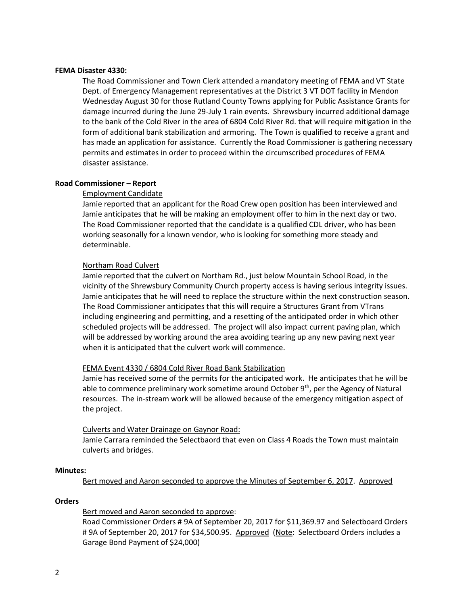### **FEMA Disaster 4330:**

The Road Commissioner and Town Clerk attended a mandatory meeting of FEMA and VT State Dept. of Emergency Management representatives at the District 3 VT DOT facility in Mendon Wednesday August 30 for those Rutland County Towns applying for Public Assistance Grants for damage incurred during the June 29-July 1 rain events. Shrewsbury incurred additional damage to the bank of the Cold River in the area of 6804 Cold River Rd. that will require mitigation in the form of additional bank stabilization and armoring. The Town is qualified to receive a grant and has made an application for assistance. Currently the Road Commissioner is gathering necessary permits and estimates in order to proceed within the circumscribed procedures of FEMA disaster assistance.

## **Road Commissioner – Report**

## Employment Candidate

Jamie reported that an applicant for the Road Crew open position has been interviewed and Jamie anticipates that he will be making an employment offer to him in the next day or two. The Road Commissioner reported that the candidate is a qualified CDL driver, who has been working seasonally for a known vendor, who is looking for something more steady and determinable.

### Northam Road Culvert

Jamie reported that the culvert on Northam Rd., just below Mountain School Road, in the vicinity of the Shrewsbury Community Church property access is having serious integrity issues. Jamie anticipates that he will need to replace the structure within the next construction season. The Road Commissioner anticipates that this will require a Structures Grant from VTrans including engineering and permitting, and a resetting of the anticipated order in which other scheduled projects will be addressed. The project will also impact current paving plan, which will be addressed by working around the area avoiding tearing up any new paving next year when it is anticipated that the culvert work will commence.

## FEMA Event 4330 / 6804 Cold River Road Bank Stabilization

Jamie has received some of the permits for the anticipated work. He anticipates that he will be able to commence preliminary work sometime around October  $9<sup>th</sup>$ , per the Agency of Natural resources. The in-stream work will be allowed because of the emergency mitigation aspect of the project.

#### Culverts and Water Drainage on Gaynor Road:

Jamie Carrara reminded the Selectbaord that even on Class 4 Roads the Town must maintain culverts and bridges.

# **Minutes:**

Bert moved and Aaron seconded to approve the Minutes of September 6, 2017. Approved

#### **Orders**

## Bert moved and Aaron seconded to approve:

Road Commissioner Orders # 9A of September 20, 2017 for \$11,369.97 and Selectboard Orders # 9A of September 20, 2017 for \$34,500.95. Approved (Note: Selectboard Orders includes a Garage Bond Payment of \$24,000)